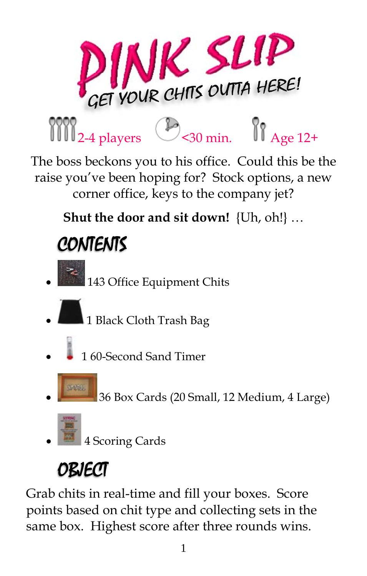

The boss beckons you to his office. Could this be the raise you've been hoping for? Stock options, a new corner office, keys to the company jet?

**Shut the door and sit down!** {Uh, oh!} …

# **CONTENTS**

- $\begin{bmatrix} 1 & 1 & 1 & 1 \\ 1 & 1 & 1 & 1 \end{bmatrix}$  Office Equipment Chits
- 1 Black Cloth Trash Bag
- 1 60-Second Sand Timer
	- 36 Box Cards (20 Small, 12 Medium, 4 Large)
- 

4 Scoring Cards

# OBJECT

Grab chits in real-time and fill your boxes. Score points based on chit type and collecting sets in the same box. Highest score after three rounds wins.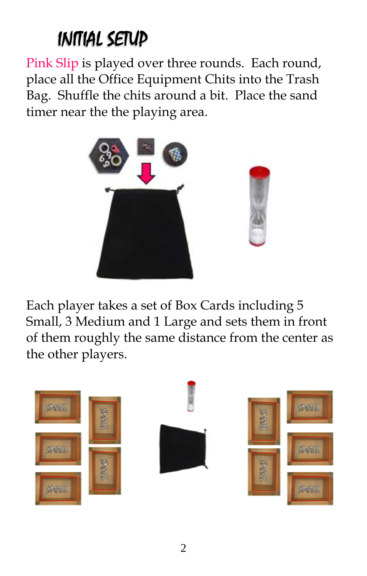### INITIAL SETUP

Pink Slip is played over three rounds. Each round, place all the Office Equipment Chits into the Trash Bag. Shuffle the chits around a bit. Place the sand timer near the the playing area.



Each player takes a set of Box Cards including 5 Small, 3 Medium and 1 Large and sets them in front of them roughly the same distance from the center as the other players.

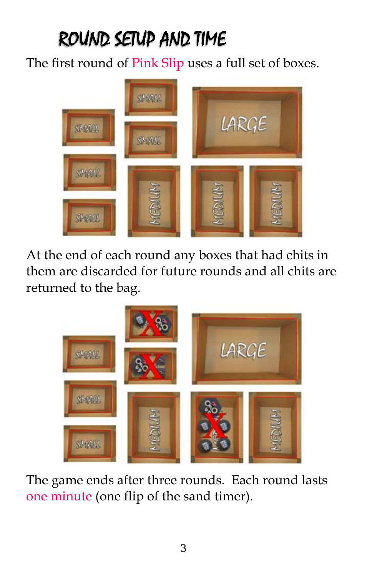## ROUND SETUP AND TIME

The first round of Pink Slip uses a full set of boxes.



At the end of each round any boxes that had chits in them are discarded for future rounds and all chits are returned to the bag.



The game ends after three rounds. Each round lasts one minute (one flip of the sand timer).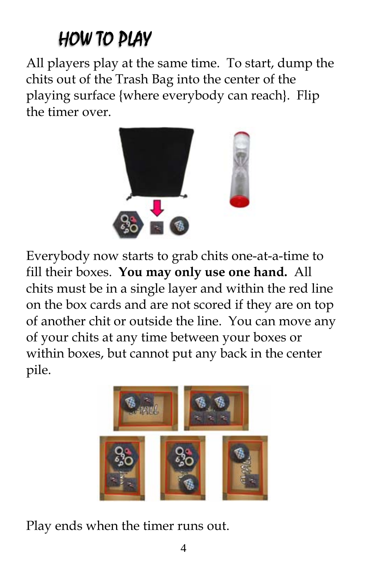### HOW TO PLAY

All players play at the same time. To start, dump the chits out of the Trash Bag into the center of the playing surface {where everybody can reach}. Flip the timer over.



Everybody now starts to grab chits one-at-a-time to fill their boxes. **You may only use one hand.** All chits must be in a single layer and within the red line on the box cards and are not scored if they are on top of another chit or outside the line. You can move any of your chits at any time between your boxes or within boxes, but cannot put any back in the center pile.



Play ends when the timer runs out.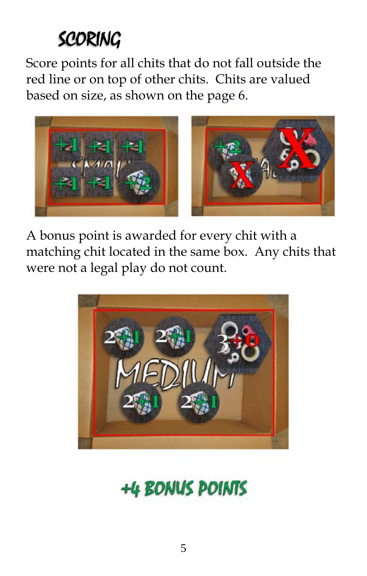### SCORING

Score points for all chits that do not fall outside the red line or on top of other chits. Chits are valued based on size, as shown on the page 6.



A bonus point is awarded for every chit with a matching chit located in the same box. Any chits that were not a legal play do not count.



+4 BONUS POINTS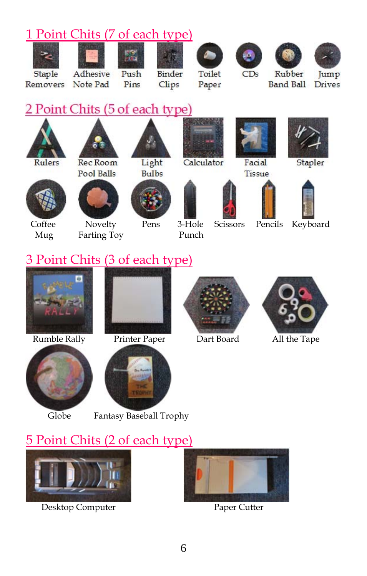







 Coffee Novelty Pens 3-Hole Scissors Pencils Keyboard Mug Farting Toy Punch











#### 3 Point Chits (3 of each type)





Rumble Rally Printer Paper Dart Board All the Tape





Globe Fantasy Baseball Trophy

#### 5 Point Chits (2 of each type)



Desktop Computer Paper Cutter

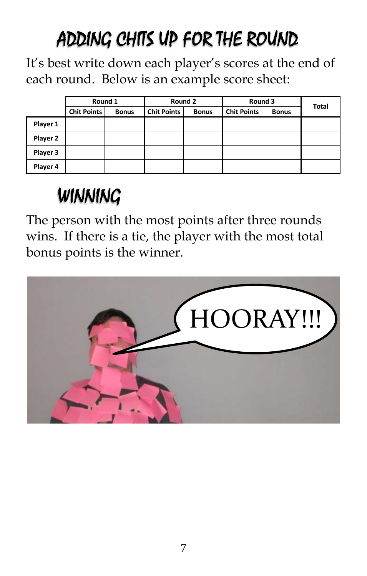## ADDING CHITS UP FOR THE ROUND

It's best write down each player's scores at the end of each round. Below is an example score sheet:

|          | Round 1            |              | Round 2            |              | Round 3            |              | <b>Total</b> |
|----------|--------------------|--------------|--------------------|--------------|--------------------|--------------|--------------|
|          | <b>Chit Points</b> | <b>Bonus</b> | <b>Chit Points</b> | <b>Bonus</b> | <b>Chit Points</b> | <b>Bonus</b> |              |
| Player 1 |                    |              |                    |              |                    |              |              |
| Player 2 |                    |              |                    |              |                    |              |              |
| Player 3 |                    |              |                    |              |                    |              |              |
| Player 4 |                    |              |                    |              |                    |              |              |

## WINNING

The person with the most points after three rounds wins. If there is a tie, the player with the most total bonus points is the winner.